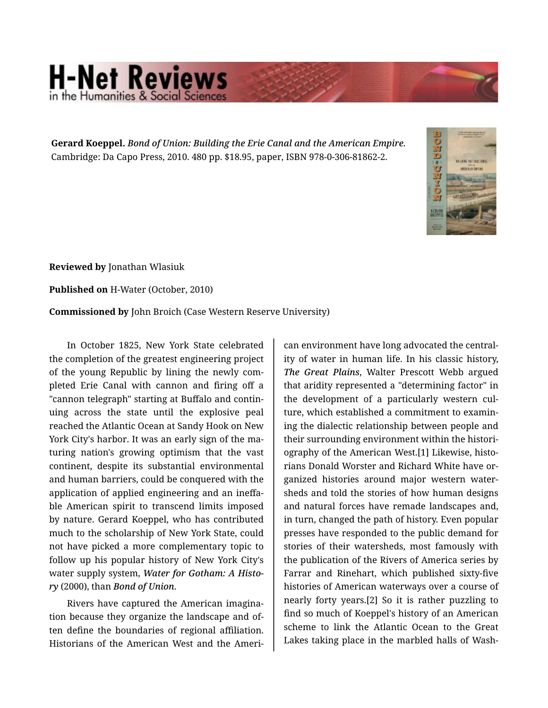## **H-Net Reviews** in the Humanities & Social Scie

**Gerard Koeppel.** *Bond of Union: Building the Erie Canal and the American Empire.*  Cambridge: Da Capo Press, 2010. 480 pp. \$18.95, paper, ISBN 978-0-306-81862-2.



**Reviewed by** Jonathan Wlasiuk

**Published on** H-Water (October, 2010)

**Commissioned by** John Broich (Case Western Reserve University)

In October 1825, New York State celebrated the completion of the greatest engineering project of the young Republic by lining the newly com‐ pleted Erie Canal with cannon and firing off a "cannon telegraph" starting at Buffalo and contin‐ uing across the state until the explosive peal reached the Atlantic Ocean at Sandy Hook on New York City's harbor. It was an early sign of the ma‐ turing nation's growing optimism that the vast continent, despite its substantial environmental and human barriers, could be conquered with the application of applied engineering and an ineffa‐ ble American spirit to transcend limits imposed by nature. Gerard Koeppel, who has contributed much to the scholarship of New York State, could not have picked a more complementary topic to follow up his popular history of New York City's water supply system, *Water for Gotham: A Histo‐ ry* (2000), than *Bond of Union*.

Rivers have captured the American imagina‐ tion because they organize the landscape and of‐ ten define the boundaries of regional affiliation. Historians of the American West and the Ameri‐

can environment have long advocated the central‐ ity of water in human life. In his classic history, *The Great Plains*, Walter Prescott Webb argued that aridity represented a "determining factor" in the development of a particularly western cul‐ ture, which established a commitment to examin‐ ing the dialectic relationship between people and their surrounding environment within the histori‐ ography of the American West.[1] Likewise, histo‐ rians Donald Worster and Richard White have or‐ ganized histories around major western water‐ sheds and told the stories of how human designs and natural forces have remade landscapes and, in turn, changed the path of history. Even popular presses have responded to the public demand for stories of their watersheds, most famously with the publication of the Rivers of America series by Farrar and Rinehart, which published sixty-five histories of American waterways over a course of nearly forty years.[2] So it is rather puzzling to find so much of Koeppel's history of an American scheme to link the Atlantic Ocean to the Great Lakes taking place in the marbled halls of Wash‐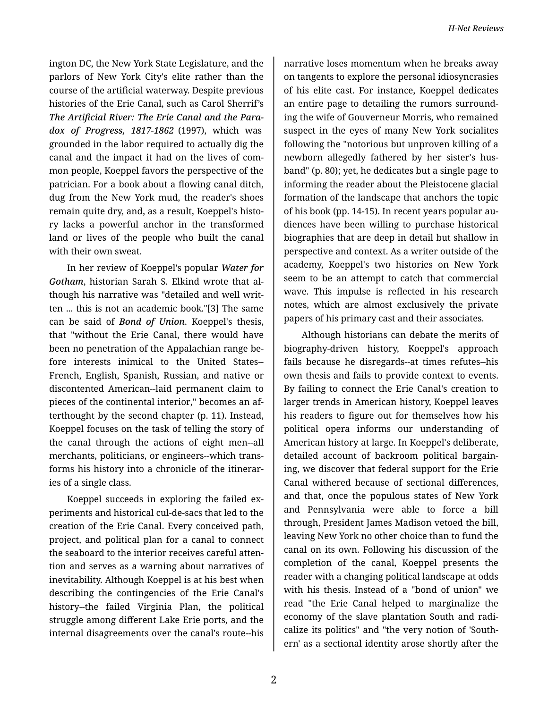ington DC, the New York State Legislature, and the parlors of New York City's elite rather than the course of the artificial waterway. Despite previous histories of the Erie Canal, such as Carol Sherrif's *The Artificial River: The Erie Canal and the Para‐ dox of Progress, 1817-1862* (1997), which was grounded in the labor required to actually dig the canal and the impact it had on the lives of com‐ mon people, Koeppel favors the perspective of the patrician. For a book about a flowing canal ditch, dug from the New York mud, the reader's shoes remain quite dry, and, as a result, Koeppel's histo‐ ry lacks a powerful anchor in the transformed land or lives of the people who built the canal with their own sweat.

In her review of Koeppel's popular *Water for Gotham*, historian Sarah S. Elkind wrote that al‐ though his narrative was "detailed and well writ‐ ten ... this is not an academic book."[3] The same can be said of *Bond of Union*. Koeppel's thesis, that "without the Erie Canal, there would have been no penetration of the Appalachian range be‐ fore interests inimical to the United States-- French, English, Spanish, Russian, and native or discontented American--laid permanent claim to pieces of the continental interior," becomes an af‐ terthought by the second chapter (p. 11). Instead, Koeppel focuses on the task of telling the story of the canal through the actions of eight men--all merchants, politicians, or engineers--which trans‐ forms his history into a chronicle of the itinerar‐ ies of a single class.

Koeppel succeeds in exploring the failed ex‐ periments and historical cul-de-sacs that led to the creation of the Erie Canal. Every conceived path, project, and political plan for a canal to connect the seaboard to the interior receives careful atten‐ tion and serves as a warning about narratives of inevitability. Although Koeppel is at his best when describing the contingencies of the Erie Canal's history--the failed Virginia Plan, the political struggle among different Lake Erie ports, and the internal disagreements over the canal's route--his

narrative loses momentum when he breaks away on tangents to explore the personal idiosyncrasies of his elite cast. For instance, Koeppel dedicates an entire page to detailing the rumors surround‐ ing the wife of Gouverneur Morris, who remained suspect in the eyes of many New York socialites following the "notorious but unproven killing of a newborn allegedly fathered by her sister's hus‐ band" (p. 80); yet, he dedicates but a single page to informing the reader about the Pleistocene glacial formation of the landscape that anchors the topic of his book (pp. 14-15). In recent years popular au‐ diences have been willing to purchase historical biographies that are deep in detail but shallow in perspective and context. As a writer outside of the academy, Koeppel's two histories on New York seem to be an attempt to catch that commercial wave. This impulse is reflected in his research notes, which are almost exclusively the private papers of his primary cast and their associates.

Although historians can debate the merits of biography-driven history, Koeppel's approach fails because he disregards--at times refutes--his own thesis and fails to provide context to events. By failing to connect the Erie Canal's creation to larger trends in American history, Koeppel leaves his readers to figure out for themselves how his political opera informs our understanding of American history at large. In Koeppel's deliberate, detailed account of backroom political bargain‐ ing, we discover that federal support for the Erie Canal withered because of sectional differences, and that, once the populous states of New York and Pennsylvania were able to force a bill through, President James Madison vetoed the bill, leaving New York no other choice than to fund the canal on its own. Following his discussion of the completion of the canal, Koeppel presents the reader with a changing political landscape at odds with his thesis. Instead of a "bond of union" we read "the Erie Canal helped to marginalize the economy of the slave plantation South and radi‐ calize its politics" and "the very notion of 'South‐ ern' as a sectional identity arose shortly after the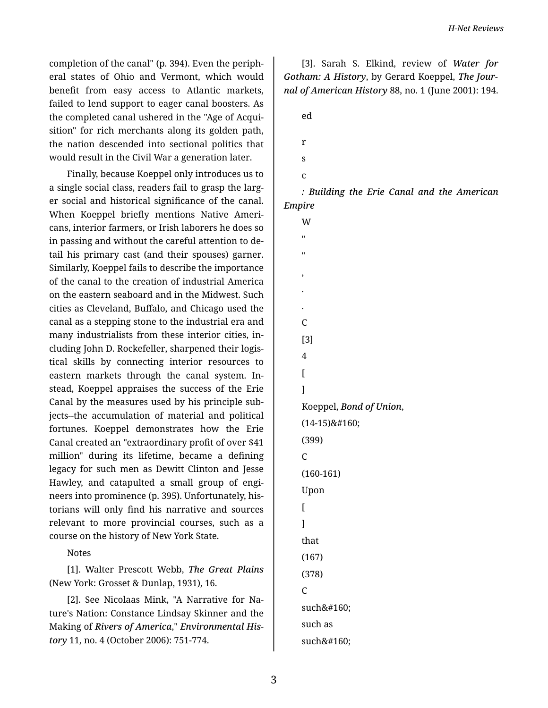completion of the canal" (p. 394). Even the periph‐ eral states of Ohio and Vermont, which would benefit from easy access to Atlantic markets, failed to lend support to eager canal boosters. As the completed canal ushered in the "Age of Acqui‐ sition" for rich merchants along its golden path, the nation descended into sectional politics that would result in the Civil War a generation later.

Finally, because Koeppel only introduces us to a single social class, readers fail to grasp the larg‐ er social and historical significance of the canal. When Koeppel briefly mentions Native Ameri‐ cans, interior farmers, or Irish laborers he does so in passing and without the careful attention to de‐ tail his primary cast (and their spouses) garner. Similarly, Koeppel fails to describe the importance of the canal to the creation of industrial America on the eastern seaboard and in the Midwest. Such cities as Cleveland, Buffalo, and Chicago used the canal as a stepping stone to the industrial era and many industrialists from these interior cities, in‐ cluding John D. Rockefeller, sharpened their logis‐ tical skills by connecting interior resources to eastern markets through the canal system. In‐ stead, Koeppel appraises the success of the Erie Canal by the measures used by his principle sub‐ jects--the accumulation of material and political fortunes. Koeppel demonstrates how the Erie Canal created an "extraordinary profit of over \$41 million" during its lifetime, became a defining legacy for such men as Dewitt Clinton and Jesse Hawley, and catapulted a small group of engi‐ neers into prominence (p. 395). Unfortunately, his‐ torians will only find his narrative and sources relevant to more provincial courses, such as a course on the history of New York State.

Notes

[1]. Walter Prescott Webb, *The Great Plains* (New York: Grosset & Dunlap, 1931), 16.

[2]. See Nicolaas Mink, "A Narrative for Na‐ ture's Nation: Constance Lindsay Skinner and the Making of *Rivers of America*," *Environmental His‐ tory* 11, no. 4 (October 2006): 751-774.

[3]. Sarah S. Elkind, review of *Water for Gotham: A History*, by Gerard Koeppel, *The Jour‐ nal of American History* 88, no. 1 (June 2001): 194.

ed

r

- s
- c

"

*: Building the Erie Canal and the American Empire*

W " , . . C [3] 4  $\overline{a}$ ] Koeppel, *Bond of Union*, (14-15) (399)  $\mathcal{C}$ (160-161) Upon  $\overline{a}$ ] that (167) (378)  $\overline{C}$ such such as such